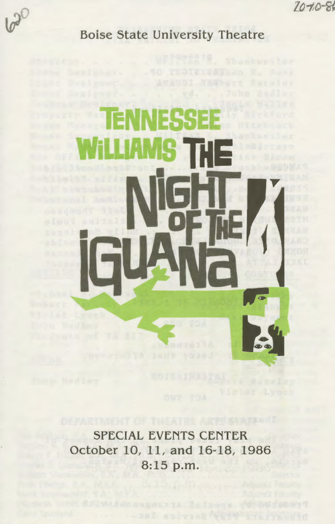$70 - 80$ 



**Boise State University Theatre** 

# 39933

SPECIAL EVENTS CENTER October 10, 11, and 16-18, 1986 8:15 p.m.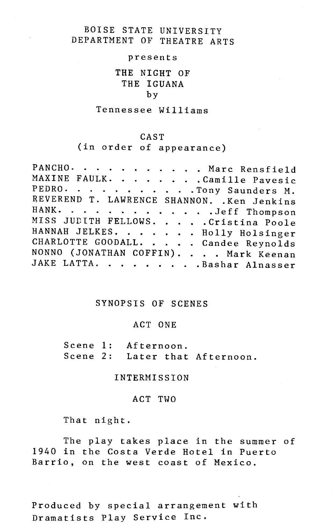# BOISE STATE UNIVERSITY DEPARTMENT OF THEATRE ARTS

### presents

# **THE** NIGHT OF THE IGUANA by

## Tennessee Williams

# CAST

(in order of appearance)

|  |  |  |  |  |  |  |  |  | PANCHO. Marc Rensfield                      |  |  |  |  |
|--|--|--|--|--|--|--|--|--|---------------------------------------------|--|--|--|--|
|  |  |  |  |  |  |  |  |  | MAXINE FAULK. Camille Payesic               |  |  |  |  |
|  |  |  |  |  |  |  |  |  | PEDRO. Tony Saunders M.                     |  |  |  |  |
|  |  |  |  |  |  |  |  |  | REVEREND T. LAWRENCE SHANNON. . Ken Jenkins |  |  |  |  |
|  |  |  |  |  |  |  |  |  | HANK. Jeff Thompson                         |  |  |  |  |
|  |  |  |  |  |  |  |  |  | MISS JUDITH FELLOWS. Cristina Poole         |  |  |  |  |
|  |  |  |  |  |  |  |  |  | HANNAH JELKES. Holly Holsinger              |  |  |  |  |
|  |  |  |  |  |  |  |  |  | CHARLOTTE GOODALL. Candee Reynolds          |  |  |  |  |
|  |  |  |  |  |  |  |  |  | NONNO (JONATHAN COFFIN). Mark Keenan        |  |  |  |  |
|  |  |  |  |  |  |  |  |  | JAKE LATTA. Bashar Alnasser                 |  |  |  |  |

# SYNOPSIS OF SCENES

## ACT ONE

Scene **1:** Afternoon. Scene 2: Later that Afternoon.

# INTERMISSION

## ACT TWO

That night.

The play takes place in the summer of 1940 in the Costa Verde Hotel in Puerto Barrio, on the west coast of Mexico.

Produced by special arrangement with Dramatists Play Service Inc.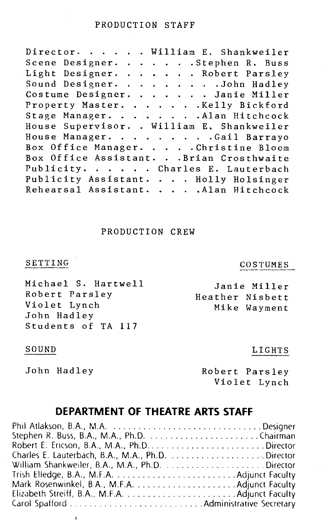# PRODUCTION STAFF

Director. . . . . William E. Shankweiler Scene Designer. . . . . . Stephen R. Buss Light Designer. . . . . . Robert Parsley Sound Designer. . . . . . . . John Hadley Costume Designer. . . . . . Janie Miller Property Master. . . . . . Kelly Bickford Stage Manager. . . . . . . Alan Hitchcock House Supervisor .. William E, Shankweiler House Manager. . . . . . . . Gail Barrayo Box Office Manager. . . . Christine Bloom Box Office Assistant. . . Brian Crosthwaite Publicity. . . . . Charles E. Lauterbach Publicity Assistant. . . . Holly Holsinger Rehearsal Assistant. . . . Alan Hitchcock

# PRODUCTION CREW

# SETTING

Michael S. Hartwell Robert Parsley Violet Lynch John Hadley Students of TA 117

# COSTUMES

LIGHTS

Janie Miller Heather Nisbett Mike Wayment

## SOUND

John Hadley

 $\mathbf{r}$ 

Robert Parsley Violet Lynch

# **DEPARTMENT OF THEATRE ARTS STAFF**

| Charles E. Lauterbach, B.A., M.A., Ph.D. Director |  |
|---------------------------------------------------|--|
| William Shankweiler, B.A., M.A., Ph.D. Director   |  |
|                                                   |  |
| Mark Rosenwinkel, B.A., M.F.A.  Adjunct Faculty   |  |
|                                                   |  |
|                                                   |  |
|                                                   |  |